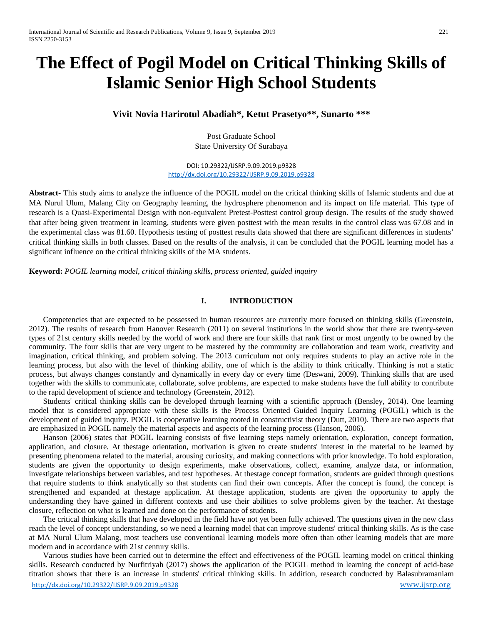# **The Effect of Pogil Model on Critical Thinking Skills of Islamic Senior High School Students**

**Vivit Novia Harirotul Abadiah\*, Ketut Prasetyo\*\*, Sunarto \*\*\***

Post Graduate School State University Of Surabaya

DOI: 10.29322/IJSRP.9.09.2019.p9328 <http://dx.doi.org/10.29322/IJSRP.9.09.2019.p9328>

**Abstract-** This study aims to analyze the influence of the POGIL model on the critical thinking skills of Islamic students and due at MA Nurul Ulum, Malang City on Geography learning, the hydrosphere phenomenon and its impact on life material. This type of research is a Quasi-Experimental Design with non-equivalent Pretest-Posttest control group design. The results of the study showed that after being given treatment in learning, students were given posttest with the mean results in the control class was 67.08 and in the experimental class was 81.60. Hypothesis testing of posttest results data showed that there are significant differences in students' critical thinking skills in both classes. Based on the results of the analysis, it can be concluded that the POGIL learning model has a significant influence on the critical thinking skills of the MA students.

**Keyword:** *POGIL learning model, critical thinking skills, process oriented, guided inquiry*

## **I. INTRODUCTION**

Competencies that are expected to be possessed in human resources are currently more focused on thinking skills (Greenstein, 2012). The results of research from Hanover Research (2011) on several institutions in the world show that there are twenty-seven types of 21st century skills needed by the world of work and there are four skills that rank first or most urgently to be owned by the community. The four skills that are very urgent to be mastered by the community are collaboration and team work, creativity and imagination, critical thinking, and problem solving. The 2013 curriculum not only requires students to play an active role in the learning process, but also with the level of thinking ability, one of which is the ability to think critically. Thinking is not a static process, but always changes constantly and dynamically in every day or every time (Deswani, 2009). Thinking skills that are used together with the skills to communicate, collaborate, solve problems, are expected to make students have the full ability to contribute to the rapid development of science and technology (Greenstein, 2012).

Students' critical thinking skills can be developed through learning with a scientific approach (Bensley, 2014). One learning model that is considered appropriate with these skills is the Process Oriented Guided Inquiry Learning (POGIL) which is the development of guided inquiry. POGIL is cooperative learning rooted in constructivist theory (Dutt, 2010). There are two aspects that are emphasized in POGIL namely the material aspects and aspects of the learning process (Hanson, 2006).

Hanson (2006) states that POGIL learning consists of five learning steps namely orientation, exploration, concept formation, application, and closure. At thestage orientation, motivation is given to create students' interest in the material to be learned by presenting phenomena related to the material, arousing curiosity, and making connections with prior knowledge. To hold exploration, students are given the opportunity to design experiments, make observations, collect, examine, analyze data, or information, investigate relationships between variables, and test hypotheses. At thestage concept formation, students are guided through questions that require students to think analytically so that students can find their own concepts. After the concept is found, the concept is strengthened and expanded at thestage application. At thestage application, students are given the opportunity to apply the understanding they have gained in different contexts and use their abilities to solve problems given by the teacher. At thestage closure, reflection on what is learned and done on the performance of students.

The critical thinking skills that have developed in the field have not yet been fully achieved. The questions given in the new class reach the level of concept understanding, so we need a learning model that can improve students' critical thinking skills. As is the case at MA Nurul Ulum Malang, most teachers use conventional learning models more often than other learning models that are more modern and in accordance with 21st century skills.

<http://dx.doi.org/10.29322/IJSRP.9.09.2019.p9328> [www.ijsrp.org](http://ijsrp.org/) Various studies have been carried out to determine the effect and effectiveness of the POGIL learning model on critical thinking skills. Research conducted by Nurfitriyah (2017) shows the application of the POGIL method in learning the concept of acid-base titration shows that there is an increase in students' critical thinking skills. In addition, research conducted by Balasubramaniam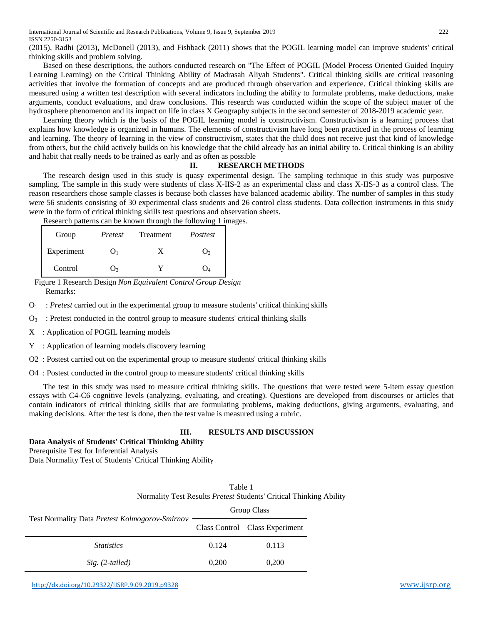(2015), Radhi (2013), McDonell (2013), and Fishback (2011) shows that the POGIL learning model can improve students' critical thinking skills and problem solving.

Based on these descriptions, the authors conducted research on "The Effect of POGIL (Model Process Oriented Guided Inquiry Learning Learning) on the Critical Thinking Ability of Madrasah Aliyah Students". Critical thinking skills are critical reasoning activities that involve the formation of concepts and are produced through observation and experience. Critical thinking skills are measured using a written test description with several indicators including the ability to formulate problems, make deductions, make arguments, conduct evaluations, and draw conclusions. This research was conducted within the scope of the subject matter of the hydrosphere phenomenon and its impact on life in class X Geography subjects in the second semester of 2018-2019 academic year.

Learning theory which is the basis of the POGIL learning model is constructivism. Constructivism is a learning process that explains how knowledge is organized in humans. The elements of constructivism have long been practiced in the process of learning and learning. The theory of learning in the view of constructivism, states that the child does not receive just that kind of knowledge from others, but the child actively builds on his knowledge that the child already has an initial ability to. Critical thinking is an ability and habit that really needs to be trained as early and as often as possible

#### **II. RESEARCH METHODS**

The research design used in this study is quasy experimental design. The sampling technique in this study was purposive sampling. The sample in this study were students of class X-IIS-2 as an experimental class and class X-IIS-3 as a control class. The reason researchers chose sample classes is because both classes have balanced academic ability. The number of samples in this study were 56 students consisting of 30 experimental class students and 26 control class students. Data collection instruments in this study were in the form of critical thinking skills test questions and observation sheets.

Research patterns can be known through the following 1 images.

| Group      | Pretest        | Treatment | Posttest       |
|------------|----------------|-----------|----------------|
| Experiment |                | X         | O <sub>2</sub> |
| Control    | $\mathbf{O}_2$ |           | O4             |

Figure 1 Research Design *Non Equivalent Control Group Design* Remarks:

O1 : *Pretest* carried out in the experimental group to measure students' critical thinking skills

 $O_3$ : Pretest conducted in the control group to measure students' critical thinking skills

- X : Application of POGIL learning models
- Y : Application of learning models discovery learning

O2 : Postest carried out on the experimental group to measure students' critical thinking skills

O4 : Postest conducted in the control group to measure students' critical thinking skills

The test in this study was used to measure critical thinking skills. The questions that were tested were 5-item essay question essays with C4-C6 cognitive levels (analyzing, evaluating, and creating). Questions are developed from discourses or articles that contain indicators of critical thinking skills that are formulating problems, making deductions, giving arguments, evaluating, and making decisions. After the test is done, then the test value is measured using a rubric.

#### **III. RESULTS AND DISCUSSION**

**Data Analysis of Students' Critical Thinking Ability**

Prerequisite Test for Inferential Analysis

Data Normality Test of Students' Critical Thinking Ability

| Table 1<br>Normality Test Results <i>Pretest</i> Students' Critical Thinking Ability |             |                                |  |  |
|--------------------------------------------------------------------------------------|-------------|--------------------------------|--|--|
|                                                                                      | Group Class |                                |  |  |
| Test Normality Data <i>Pretest Kolmogorov-Smirnov</i>                                |             | Class Control Class Experiment |  |  |
| <i>Statistics</i>                                                                    | 0.124       | 0.113                          |  |  |
| $Sig. (2-tailed)$                                                                    | 0.200       | 0,200                          |  |  |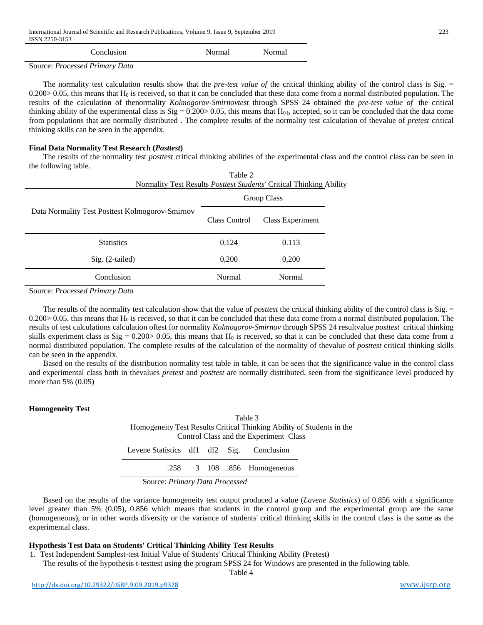| Conclusion | Normal | Normal |
|------------|--------|--------|
|            |        |        |

Source: *Processed Primary Data*

The normality test calculation results show that the *pre-test value of* the critical thinking ability of the control class is Sig. =  $0.200 > 0.05$ , this means that H<sub>0</sub> is received, so that it can be concluded that these data come from a normal distributed population. The results of the calculation of thenormality *Kolmogorov-Smirnovtest* through SPSS 24 obtained the *pre-test value of* the critical thinking ability of the experimental class is  $\text{Sig} = 0.200 > 0.05$ , this means that H<sub>0</sub> is accepted, so it can be concluded that the data come from populations that are normally distributed . The complete results of the normality test calculation of thevalue of *pretest* critical thinking skills can be seen in the appendix.

#### **Final Data Normality Test Research (***Posttest***)**

The results of the normality test *posttest* critical thinking abilities of the experimental class and the control class can be seen in the following table.  $T<sub>0</sub>$  $\mu$ <sub>2</sub> $\gamma$ 

|                                                 | rabie z<br>Normality Test Results Posttest Students' Critical Thinking Ability |                  |  |  |
|-------------------------------------------------|--------------------------------------------------------------------------------|------------------|--|--|
|                                                 | Group Class                                                                    |                  |  |  |
| Data Normality Test Posttest Kolmogorov-Smirnov | Class Control                                                                  | Class Experiment |  |  |
| <b>Statistics</b>                               | 0.124                                                                          | 0.113            |  |  |
| $Sig. (2-tailed)$                               | 0,200                                                                          | 0,200            |  |  |
| Conclusion                                      | Normal                                                                         | Normal           |  |  |

Source: *Processed Primary Data*

The results of the normality test calculation show that the value of *posttest* the critical thinking ability of the control class is Sig. =  $0.200 > 0.05$ , this means that H<sub>0</sub> is received, so that it can be concluded that these data come from a normal distributed population. The results of test calculations calculation oftest for normality *Kolmogorov-Smirnov* through SPSS 24 resultvalue *posttest* critical thinking skills experiment class is  $Sig = 0.200 > 0.05$ , this means that  $H_0$  is received, so that it can be concluded that these data come from a normal distributed population. The complete results of the calculation of the normality of thevalue of *posttest* critical thinking skills can be seen in the appendix.

Based on the results of the distribution normality test table in table, it can be seen that the significance value in the control class and experimental class both in thevalues *pretest* and *posttest* are normally distributed, seen from the significance level produced by more than 5% (0.05)

#### **Homogeneity Test**

| Table 3                                                               |                                        |        |  |                             |  |  |  |
|-----------------------------------------------------------------------|----------------------------------------|--------|--|-----------------------------|--|--|--|
| Homogeneity Test Results Critical Thinking Ability of Students in the |                                        |        |  |                             |  |  |  |
|                                                                       | Control Class and the Experiment Class |        |  |                             |  |  |  |
| Levene Statistics df1 df2 Sig. Conclusion                             |                                        |        |  |                             |  |  |  |
|                                                                       |                                        |        |  | .258 3 108 .856 Homogeneous |  |  |  |
| $\sim$<br>__                                                          |                                        | ______ |  |                             |  |  |  |

Source: *Primary Data Processed*

Based on the results of the variance homogeneity test output produced a value (*Lavene Statistics*) of 0.856 with a significance level greater than 5% (0.05), 0.856 which means that students in the control group and the experimental group are the same (homogeneous), or in other words diversity or the variance of students' critical thinking skills in the control class is the same as the experimental class.

#### **Hypothesis Test Data on Students' Critical Thinking Ability Test Results**

1. Test Independent Samplest-test Initial Value of Students' Critical Thinking Ability (Pretest)

The results of the hypothesis t-testtest using the program SPSS 24 for Windows are presented in the following table.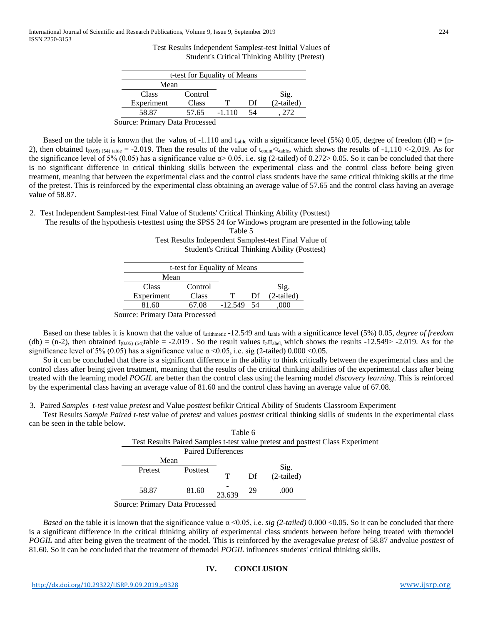Test Results Independent Samplest-test Initial Values of Student's Critical Thinking Ability (Pretest)

| t-test for Equality of Means   |         |          |    |              |  |
|--------------------------------|---------|----------|----|--------------|--|
| Mean                           |         |          |    |              |  |
| <b>Class</b>                   | Control |          |    | Sig.         |  |
| Experiment                     | Class   |          | Df | $(2-tailed)$ |  |
| 58.87                          | 57.65   | $-1.110$ | 54 |              |  |
| Source: Primary Data Processed |         |          |    |              |  |

Based on the table it is known that the value<sub>t</sub> of -1.110 and t<sub>table</sub> with a significance level (5%) 0.05, degree of freedom (df) = (n-2), then obtained  $t_{(0.05)(54) \text{ table}} = -2.019$ . Then the results of the value of  $t_{\text{count}} < t_{\text{table}}$ , which shows the results of -1,110 <-2,019. As for the significance level of 5% (0.05) has a significance value  $\alpha$  > 0.05, i.e. sig (2-tailed) of 0.272 > 0.05. So it can be concluded that there is no significant difference in critical thinking skills between the experimental class and the control class before being given treatment, meaning that between the experimental class and the control class students have the same critical thinking skills at the time of the pretest. This is reinforced by the experimental class obtaining an average value of 57.65 and the control class having an average value of 58.87.

2. Test Independent Samplest-test Final Value of Students' Critical Thinking Ability (Posttest)

The results of the hypothesis t-testtest using the SPSS 24 for Windows program are presented in the following table  $T_0$ <sub>b</sub>l<sub>o</sub> $\zeta$ 

| Tanie D                                               |  |
|-------------------------------------------------------|--|
| Test Results Independent Samplest-test Final Value of |  |
| <b>Student's Critical Thinking Ability (Posttest)</b> |  |
|                                                       |  |
| t-test for Equality of Means                          |  |
|                                                       |  |

|                                | t-test for Equality of Means |              |    |              |
|--------------------------------|------------------------------|--------------|----|--------------|
| Mean                           |                              |              |    |              |
| Class                          | Control                      |              |    | Sig.         |
| Experiment                     | Class                        | т            | Df | $(2-tailed)$ |
| 81.60                          | 67.08                        | $-12.549$ 54 |    | .000         |
| Source: Primary Data Processed |                              |              |    |              |

Based on these tables it is known that the value of t<sub>arithmetic</sub> -12.549 and t<sub>table</sub> with a significance level (5%) 0.05, *degree of freedom* (db) = (n-2), then obtained t<sub>(0.05)</sub> (54)table = -2.019. So the result values t<sub>>ttabel</sub>, which shows the results -12.549> -2.019. As for the significance level of 5% (0.05) has a significance value  $\alpha$  <0.05, i.e. sig (2-tailed) 0.000 <0.05.

So it can be concluded that there is a significant difference in the ability to think critically between the experimental class and the control class after being given treatment, meaning that the results of the critical thinking abilities of the experimental class after being treated with the learning model *POGIL* are better than the control class using the learning model *discovery learning*. This is reinforced by the experimental class having an average value of 81.60 and the control class having an average value of 67.08.

3. Paired *Samples t-test* value *pretest* and Value *posttest* befikir Critical Ability of Students Classroom Experiment

Test Results *Sample Paired t-test* value of *pretest* and values *posttest* critical thinking skills of students in the experimental class can be seen in the table below.

| Pretest | Posttest |        |    | Sig.                                 |                                                                                |
|---------|----------|--------|----|--------------------------------------|--------------------------------------------------------------------------------|
|         |          | т      | Df | (2-tailed)                           |                                                                                |
| 58.87   | 81.60    | 23.639 | 29 | .000                                 |                                                                                |
|         |          | Mean   |    | Table 6<br><b>Paired Differences</b> | Test Results Paired Samples t-test value pretest and posttest Class Experiment |

Source: Primary Data Processed

*Based* on the table it is known that the significance value  $\alpha$  <0.05, i.e. *sig (2-tailed)* 0.000 <0.05. So it can be concluded that there is a significant difference in the critical thinking ability of experimental class students between before being treated with themodel *POGIL* and after being given the treatment of the model. This is reinforced by the averagevalue *pretest* of 58.87 andvalue *posttest* of 81.60. So it can be concluded that the treatment of themodel *POGIL* influences students' critical thinking skills.

# **IV. CONCLUSION**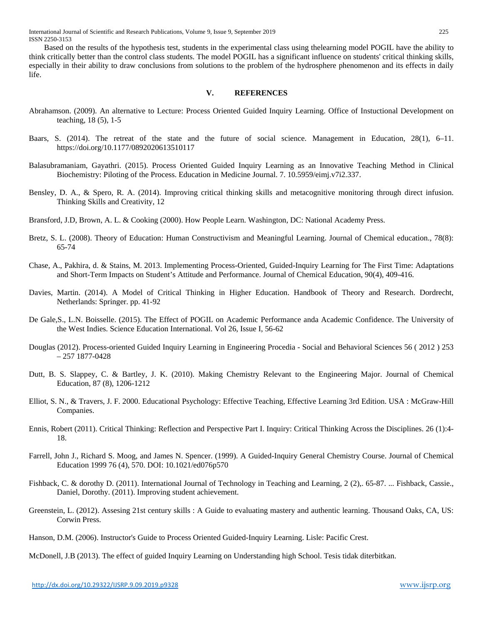International Journal of Scientific and Research Publications, Volume 9, Issue 9, September 2019 225 ISSN 2250-3153

Based on the results of the hypothesis test, students in the experimental class using thelearning model POGIL have the ability to think critically better than the control class students. The model POGIL has a significant influence on students' critical thinking skills, especially in their ability to draw conclusions from solutions to the problem of the hydrosphere phenomenon and its effects in daily life.

### **V. REFERENCES**

- Abrahamson. (2009). An alternative to Lecture: Process Oriented Guided Inquiry Learning. Office of Instuctional Development on teaching, 18 (5), 1-5
- Baars, S. (2014). The retreat of the state and the future of social science. Management in Education, 28(1), 6–11. https://doi.org/10.1177/0892020613510117
- Balasubramaniam, Gayathri. (2015). Process Oriented Guided Inquiry Learning as an Innovative Teaching Method in Clinical Biochemistry: Piloting of the Process. Education in Medicine Journal. 7. 10.5959/eimj.v7i2.337.
- Bensley, D. A., & Spero, R. A. (2014). Improving critical thinking skills and metacognitive monitoring through direct infusion. Thinking Skills and Creativity, 12
- Bransford, J.D, Brown, A. L. & Cooking (2000). How People Learn. Washington, DC: National Academy Press.
- Bretz, S. L. (2008). Theory of Education: Human Constructivism and Meaningful Learning. Journal of Chemical education., 78(8): 65-74
- Chase, A., Pakhira, d. & Stains, M. 2013. Implementing Process-Oriented, Guided-Inquiry Learning for The First Time: Adaptations and Short-Term Impacts on Student's Attitude and Performance. Journal of Chemical Education, 90(4), 409-416.
- Davies, Martin. (2014). A Model of Critical Thinking in Higher Education. Handbook of Theory and Research. Dordrecht, Netherlands: Springer. pp. 41-92
- De Gale,S., L.N. Boisselle. (2015). The Effect of POGIL on Academic Performance anda Academic Confidence. The University of the West Indies. Science Education International. Vol 26, Issue I, 56-62
- Douglas (2012). Process-oriented Guided Inquiry Learning in Engineering Procedia Social and Behavioral Sciences 56 ( 2012 ) 253 – 257 1877-0428
- Dutt, B. S. Slappey, C. & Bartley, J. K. (2010). Making Chemistry Relevant to the Engineering Major. Journal of Chemical Education, 87 (8), 1206-1212
- Elliot, S. N., & Travers, J. F. 2000. Educational Psychology: Effective Teaching, Effective Learning 3rd Edition. USA : McGraw-Hill Companies.
- Ennis, Robert (2011). Critical Thinking: Reflection and Perspective Part I. Inquiry: Critical Thinking Across the Disciplines. 26 (1):4- 18.
- Farrell, John J., Richard S. Moog, and James N. Spencer. (1999). A Guided-Inquiry General Chemistry Course. Journal of Chemical Education 1999 76 (4), 570. DOI: 10.1021/ed076p570
- Fishback, C. & dorothy D. (2011). International Journal of Technology in Teaching and Learning, 2 (2),. 65-87. ... Fishback, Cassie., Daniel, Dorothy. (2011). Improving student achievement.
- Greenstein, L. (2012). Assesing 21st century skills : A Guide to evaluating mastery and authentic learning. Thousand Oaks, CA, US: Corwin Press.
- Hanson, D.M. (2006). Instructor's Guide to Process Oriented Guided-Inquiry Learning. Lisle: Pacific Crest.

McDonell, J.B (2013). The effect of guided Inquiry Learning on Understanding high School. Tesis tidak diterbitkan.